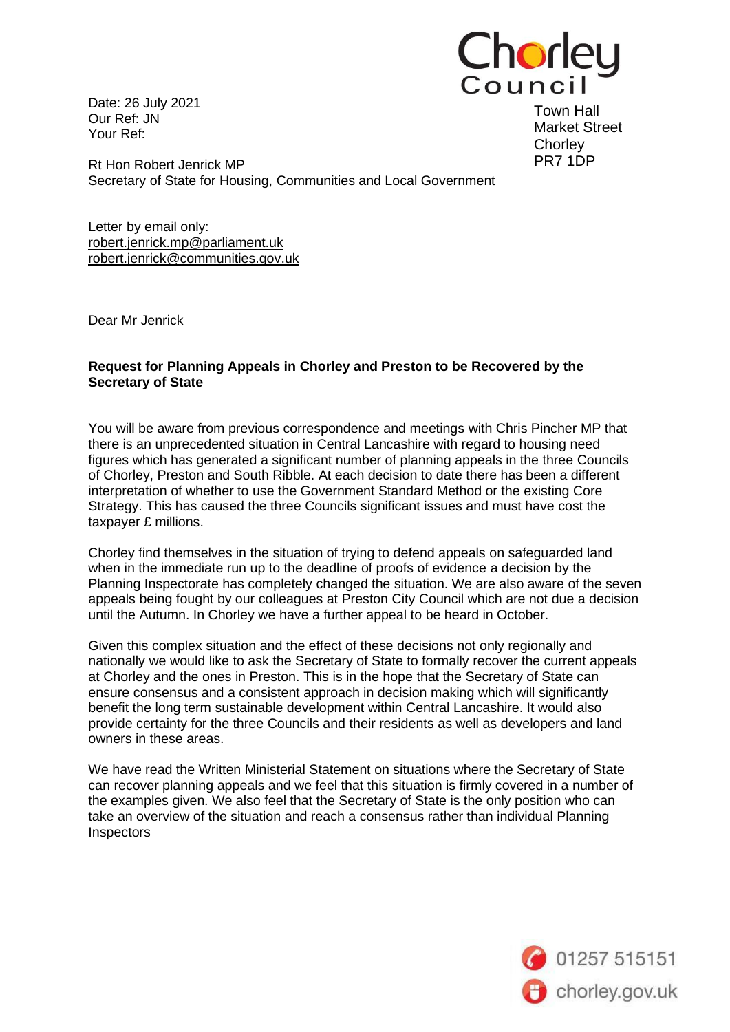Date: 26 July 2021 Our Ref: JN Your Ref:



Town Hall Market Street **Chorley** PR7 1DP

Rt Hon Robert Jenrick MP Secretary of State for Housing, Communities and Local Government

Letter by email only: [robert.jenrick.mp@parliament.uk](mailto:robert.jenrick.mp@parliament.uk) [robert.jenrick@communities.gov.uk](mailto:robert.jenrick@communities.gov.uk?body=My%20address%3A%20)

Dear Mr Jenrick

## **Request for Planning Appeals in Chorley and Preston to be Recovered by the Secretary of State**

You will be aware from previous correspondence and meetings with Chris Pincher MP that there is an unprecedented situation in Central Lancashire with regard to housing need figures which has generated a significant number of planning appeals in the three Councils of Chorley, Preston and South Ribble. At each decision to date there has been a different interpretation of whether to use the Government Standard Method or the existing Core Strategy. This has caused the three Councils significant issues and must have cost the taxpayer £ millions.

Chorley find themselves in the situation of trying to defend appeals on safeguarded land when in the immediate run up to the deadline of proofs of evidence a decision by the Planning Inspectorate has completely changed the situation. We are also aware of the seven appeals being fought by our colleagues at Preston City Council which are not due a decision until the Autumn. In Chorley we have a further appeal to be heard in October.

Given this complex situation and the effect of these decisions not only regionally and nationally we would like to ask the Secretary of State to formally recover the current appeals at Chorley and the ones in Preston. This is in the hope that the Secretary of State can ensure consensus and a consistent approach in decision making which will significantly benefit the long term sustainable development within Central Lancashire. It would also provide certainty for the three Councils and their residents as well as developers and land owners in these areas.

We have read the Written Ministerial Statement on situations where the Secretary of State can recover planning appeals and we feel that this situation is firmly covered in a number of the examples given. We also feel that the Secretary of State is the only position who can take an overview of the situation and reach a consensus rather than individual Planning **Inspectors** 

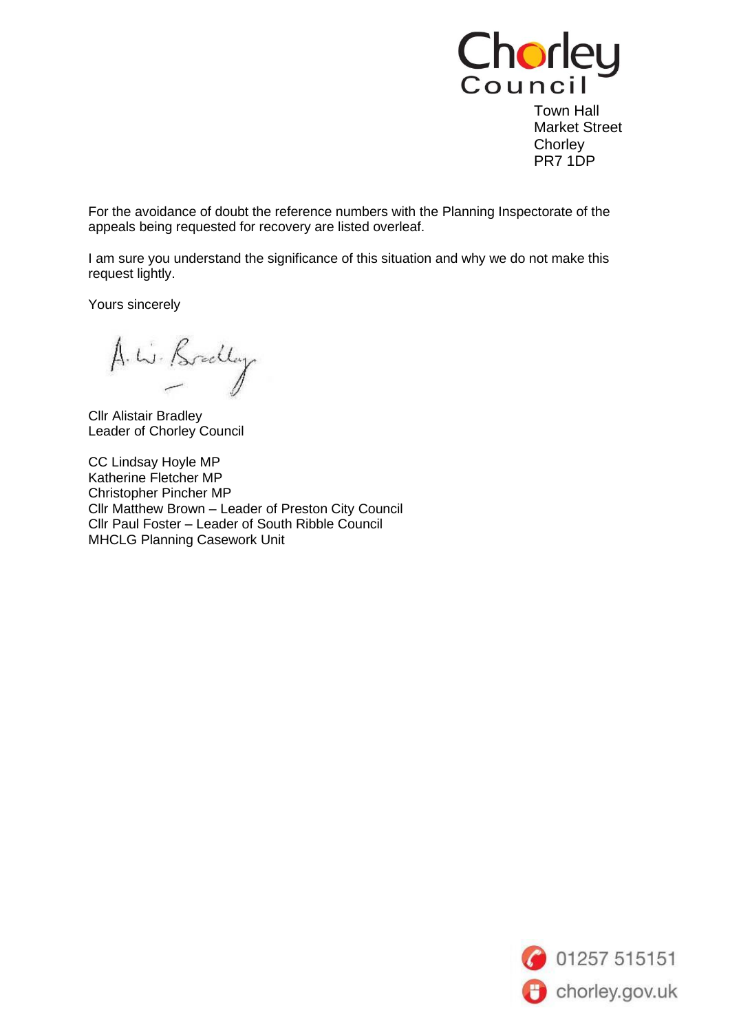

Town Hall Market Street **Chorley** PR7 1DP

For the avoidance of doubt the reference numbers with the Planning Inspectorate of the appeals being requested for recovery are listed overleaf.

I am sure you understand the significance of this situation and why we do not make this request lightly.

Yours sincerely

A. W. Bradley

Cllr Alistair Bradley Leader of Chorley Council

CC Lindsay Hoyle MP Katherine Fletcher MP Christopher Pincher MP Cllr Matthew Brown – Leader of Preston City Council Cllr Paul Foster – Leader of South Ribble Council MHCLG Planning Casework Unit